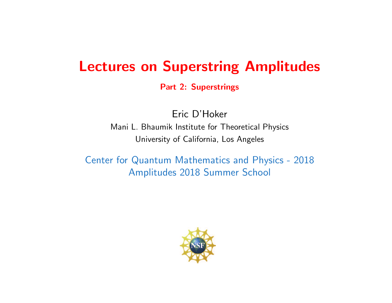## Lectures on Superstring Amplitudes

Part 2: Superstrings

Eric D'Hoker Mani L. Bhaumik Institute for Theoretical Physics University of California, Los Angeles

Center for Quantum Mathematics and Physics - 2018 Amplitudes 2018 Summer School

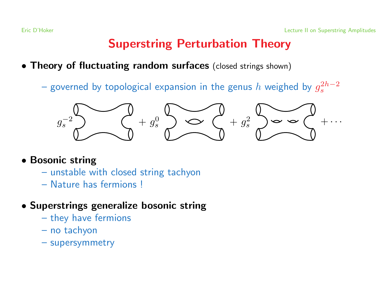## Superstring Perturbation Theory

- Theory of fluctuating random surfaces (closed strings shown)
	- governed by topological expansion in the genus h weighed by  $g_s^{2h-2}$



- Bosonic string
	- unstable with closed string tachyon
	- Nature has fermions !
- Superstrings generalize bosonic string
	- they have fermions
	- no tachyon
	- supersymmetry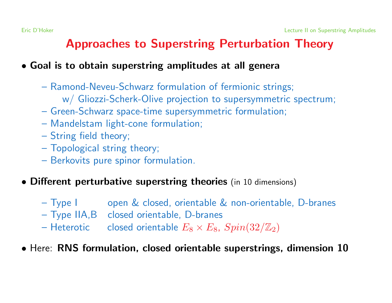## Approaches to Superstring Perturbation Theory

#### • Goal is to obtain superstring amplitudes at all genera

- Ramond-Neveu-Schwarz formulation of fermionic strings; w/ Gliozzi-Scherk-Olive projection to supersymmetric spectrum;
- Green-Schwarz space-time supersymmetric formulation;
- Mandelstam light-cone formulation;
- String field theory;
- Topological string theory;
- Berkovits pure spinor formulation.
- Different perturbative superstring theories (in <sup>10</sup> dimensions)
	- Type I open & closed, orientable & non-orientable, D-branes
	- Type IIA,B closed orientable, D-branes
	- Heterotic closed orientable  $E_8 \times E_8$ ,  $Spin(32/\mathbb{Z}_2)$
- Here: RNS formulation, closed orientable superstrings, dimension 10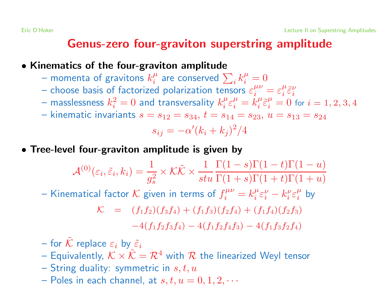## Genus-zero four-graviton superstring amplitude

#### • Kinematics of the four-graviton amplitude

- momenta of gravitons  $k_i^{\mu}$  are conserved  $\sum_i k_i^{\mu} = 0$
- choose basis of factorized polarization tensors  $\varepsilon_i^{\mu\nu} = \varepsilon_i^{\mu} \tilde{\varepsilon}_{i}^{\nu}$
- masslessness  $k_i^2 = 0$  and transversality  $k_i^{\mu} \varepsilon_i^{\mu} = k_i^{\mu} \tilde{\varepsilon}_i^{\mu} = 0$  for  $i = 1, 2, 3, 4$
- kinematic invariants  $s = s_{12} = s_{34}, t = s_{14} = s_{23}, u = s_{13} = s_{24}$

$$
s_{ij} = -\alpha'(k_i + k_j)^2/4
$$

• Tree-level four-graviton amplitude is given by

$$
\mathcal{A}^{(0)}(\varepsilon_i, \tilde{\varepsilon}_i, k_i) = \frac{1}{g_s^2} \times \mathcal{K}\tilde{\mathcal{K}} \times \frac{1}{stu} \frac{\Gamma(1-s)\Gamma(1-t)\Gamma(1-u)}{\Gamma(1+s)\Gamma(1+t)\Gamma(1+u)}
$$
  
– Kinematical factor  $\mathcal{K}$  given in terms of  $f_i^{\mu\nu} = k_i^{\mu} \varepsilon_i^{\nu} - k_i^{\nu} \varepsilon_i^{\mu}$  by

$$
\mathcal{K} = (f_1 f_2)(f_3 f_4) + (f_1 f_3)(f_2 f_4) + (f_1 f_4)(f_2 f_3) \n-4(f_1 f_2 f_3 f_4) - 4(f_1 f_2 f_4 f_3) - 4(f_1 f_3 f_2 f_4)
$$

- for  $\tilde{\mathcal{K}}$  replace  $\varepsilon_i$  by  $\tilde{\varepsilon}_i$
- Equivalently,  $K \times \tilde{K} = \mathcal{R}^4$  with  $\mathcal R$  the linearized Weyl tensor
- String duality: symmetric in  $s, t, u$
- Poles in each channel, at  $s, t, u = 0, 1, 2, \cdots$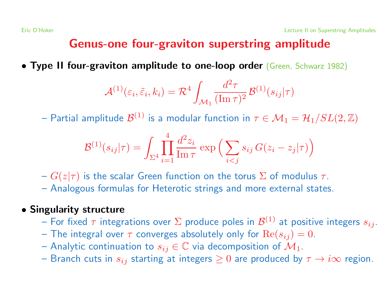## Genus-one four-graviton superstring amplitude

• Type II four-graviton amplitude to one-loop order (Green, Schwarz 1982)

$$
\mathcal{A}^{(1)}(\varepsilon_i, \tilde{\varepsilon}_i, k_i) = \mathcal{R}^4 \int_{\mathcal{M}_1} \frac{d^2 \tau}{(\text{Im}\,\tau)^2} \mathcal{B}^{(1)}(s_{ij}|\tau)
$$

– Partial amplitude  $\mathcal{B}^{(1)}$  is a modular function in  $\tau \in \mathcal{M}_1 = \mathcal{H}_1/SL(2,\mathbb{Z})$ 

$$
\mathcal{B}^{(1)}(s_{ij}|\tau) = \int_{\Sigma^4} \prod_{i=1}^4 \frac{d^2 z_i}{\text{Im}\,\tau} \exp\left(\sum_{i < j} s_{ij} \, G(z_i - z_j|\tau)\right)
$$

- $-G(z|\tau)$  is the scalar Green function on the torus  $\Sigma$  of modulus  $\tau$ .
- Analogous formulas for Heterotic strings and more external states.

#### • Singularity structure

- For fixed  $\tau$  integrations over  $\Sigma$  produce poles in  $\mathcal{B}^{(1)}$  at positive integers  $s_{ij}$ .
- The integral over  $\tau$  converges absolutely only for  $\text{Re}(s_{ij}) = 0$ .
- Analytic continuation to  $s_{ij} \in \mathbb{C}$  via decomposition of  $\mathcal{M}_1$ .
- Branch cuts in  $s_{ij}$  starting at integers  $\geq 0$  are produced by  $\tau \to i\infty$  region.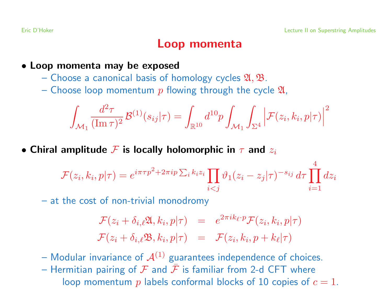4

### Loop momenta

• Loop momenta may be exposed

- Choose a canonical basis of homology cycles  $\mathfrak{A}, \mathfrak{B}$ .
- Choose loop momentum p flowing through the cycle  $\mathfrak{A}$ ,

$$
\int_{\mathcal{M}_1} \frac{d^2 \tau}{(\operatorname{Im} \tau)^2} \mathcal{B}^{(1)}(s_{ij}|\tau) = \int_{\mathbb{R}^{10}} d^{10}p \int_{\mathcal{M}_1} \int_{\Sigma^4} \left| \mathcal{F}(z_i, k_i, p|\tau) \right|^2
$$

• Chiral amplitude  $\mathcal F$  is locally holomorphic in  $\tau$  and  $z_i$ 

$$
\mathcal{F}(z_i, k_i, p|\tau) = e^{i\pi\tau p^2 + 2\pi i p \sum_i k_i z_i} \prod_{i < j} \vartheta_1(z_i - z_j|\tau)^{-s_{ij}} d\tau \prod_{i=1}^4 dz_i
$$

– at the cost of non-trivial monodromy

$$
\mathcal{F}(z_i + \delta_{i,\ell} \mathfrak{A}, k_i, p | \tau) = e^{2\pi i k_{\ell} \cdot p} \mathcal{F}(z_i, k_i, p | \tau)
$$
  

$$
\mathcal{F}(z_i + \delta_{i,\ell} \mathfrak{B}, k_i, p | \tau) = \mathcal{F}(z_i, k_i, p + k_{\ell} | \tau)
$$

- Modular invariance of  $A^{(1)}$  guarantees independence of choices.
- Hermitian pairing of  $\mathcal F$  and  $\bar{\mathcal F}$  is familiar from 2-d CFT where loop momentum p labels conformal blocks of 10 copies of  $c = 1$ .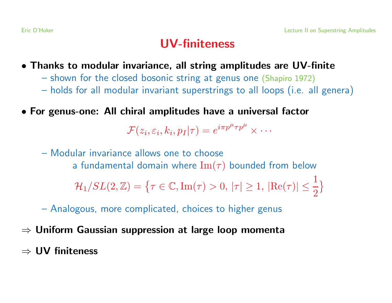## UV-finiteness

- Thanks to modular invariance, all string amplitudes are UV-finite
	- shown for the closed bosonic string at genus one (Shapiro 1972)
	- holds for all modular invariant superstrings to all loops (i.e. all genera)
- For genus-one: All chiral amplitudes have <sup>a</sup> universal factor

 $\mathcal{F}(z_i, \varepsilon_i, k_i, p_I|\tau) = e^{i\pi p^{\mu} \tau p^{\mu}} \times \cdots$ 

– Modular invariance allows one to choose a fundamental domain where  $\text{Im}(\tau)$  bounded from below

 $\mathcal{H}_1/SL(2,\mathbb{Z}) = \{ \tau \in \mathbb{C}, \text{Im}(\tau) > 0, |\tau| \geq 1, |\text{Re}(\tau)| \leq \frac{1}{2} \}$ 

– Analogous, more complicated, choices to higher genus

- $\Rightarrow$  Uniform Gaussian suppression at large loop momenta
- ⇒ UV finiteness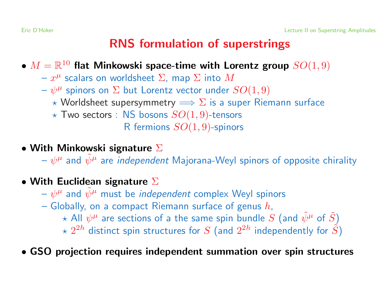## RNS formulation of superstrings

- $M = \mathbb{R}^{10}$  flat Minkowski space-time with Lorentz group  $SO(1,9)$ 
	- $-x^{\mu}$  scalars on worldsheet  $\Sigma$ , map  $\Sigma$  into  $M$
	- $-\psi^{\mu}$  spinors on  $\Sigma$  but Lorentz vector under  $SO(1,9)$ 
		- $\star$  Worldsheet supersymmetry  $\Longrightarrow \Sigma$  is a super Riemann surface
		- $\star$  Two sectors : NS bosons  $SO(1,9)$ -tensors

R fermions  $SO(1,9)$ -spinors

- With Minkowski signature  $\Sigma$ 
	- $-\psi^{\mu}$  and  $\tilde{\psi}^{\mu}$  are *independent* Majorana-Weyl spinors of opposite chirality
- With Euclidean signature  $\Sigma$ 
	- $-\psi^{\mu}$  and  $\psi^{\mu}$  must be *independent* complex Weyl spinors
	- Globally, on a compact Riemann surface of genus  $h$ ,
		- $\star$  All  $\psi^{\mu}$  are sections of a the same spin bundle S (and  $\tilde{\psi}^{\mu}$  of  $\tilde{S}$ )
		- $\chi$  2<sup>2h</sup> distinct spin structures for S (and 2<sup>2h</sup> independently for  $\tilde{S}$ )
- GSO projection requires independent summation over spin structures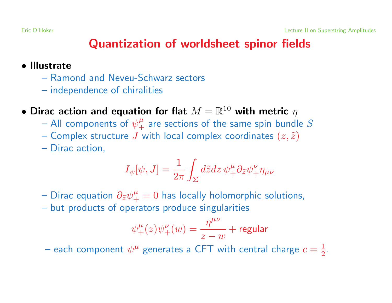## Quantization of worldsheet spinor fields

#### • Illustrate

- Ramond and Neveu-Schwarz sectors
- independence of chiralities
- Dirac action and equation for flat  $M = \mathbb{R}^{10}$  with metric  $\eta$ 
	- All components of  $\psi_{+}^{\mu}$  are sections of the same spin bundle S
	- Complex structure J with local complex coordinates  $(z, \tilde{z})$
	- Dirac action,

$$
I_{\psi}[\psi, J] = \frac{1}{2\pi} \int_{\Sigma} d\tilde{z} dz \, \psi_{+}^{\mu} \partial_{\tilde{z}} \psi_{+}^{\nu} \eta_{\mu\nu}
$$

- Dirac equation  $\partial_{\tilde{z}}\psi_{+}^{\mu}=0$  has locally holomorphic solutions,
- but products of operators produce singularities

$$
\psi_+^{\mu}(z)\psi_+^{\nu}(w) = \frac{\eta^{\mu\nu}}{z-w} + \text{regular}
$$

– each component  $\psi^{\mu}$  generates a CFT with central charge  $c = \frac{1}{2}$ .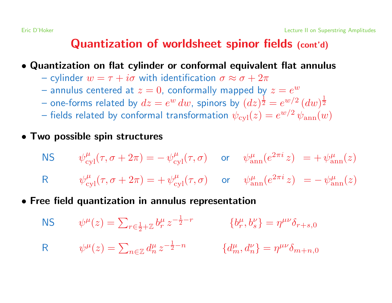## Quantization of worldsheet spinor fields (cont'd)

• Quantization on flat cylinder or conformal equivalent flat annulus

- cylinder  $w = \tau + i\sigma$  with identification  $\sigma \approx \sigma + 2\pi$
- annulus centered at  $z = 0$ , conformally mapped by  $z = e^w$
- one-forms related by  $dz = e^w dw$ , spinors by  $(dz)^{\frac{1}{2}} = e^{w/2} (dw)^{\frac{1}{2}}$
- fields related by conformal transformation  $\psi_{\text{cyl}}(z) = e^{w/2} \psi_{\text{ann}}(w)$
- Two possible spin structures

$$
\begin{aligned}\n\mathsf{NS} \qquad & \psi_{\text{cyl}}^{\mu}(\tau, \sigma + 2\pi) = -\,\psi_{\text{cyl}}^{\mu}(\tau, \sigma) \qquad \text{or} \qquad & \psi_{\text{ann}}^{\mu}(e^{2\pi i} \, z) = +\,\psi_{\text{ann}}^{\mu}(z) \\
\mathsf{R} \qquad & \psi_{\text{cvl}}^{\mu}(\tau, \sigma + 2\pi) = +\,\psi_{\text{cvl}}^{\mu}(\tau, \sigma) \qquad \text{or} \qquad & \psi_{\text{ann}}^{\mu}(e^{2\pi i} \, z) = -\,\psi_{\text{ann}}^{\mu}(z)\n\end{aligned}
$$

• Free field quantization in annulus representation

NS 
$$
\psi^{\mu}(z) = \sum_{r \in \frac{1}{2} + \mathbb{Z}} b_r^{\mu} z^{-\frac{1}{2} - r} \qquad \{b_r^{\mu}, b_s^{\nu}\} = \eta^{\mu\nu} \delta_{r+s,0}
$$
  
R 
$$
\psi^{\mu}(z) = \sum_{n \in \mathbb{Z}} d_n^{\mu} z^{-\frac{1}{2} - n} \qquad \{d_m^{\mu}, d_n^{\nu}\} = \eta^{\mu\nu} \delta_{m+n,0}
$$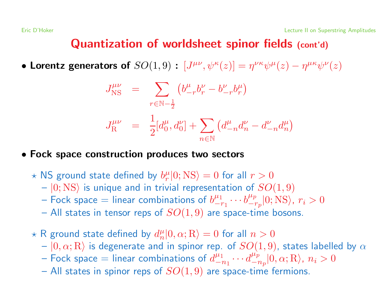### Quantization of worldsheet spinor fields (cont'd)

• Lorentz generators of  $SO(1,9)$  :  $[J^{\mu\nu},\psi^\kappa(z)]=\eta^{\nu\kappa}\psi^\mu(z)-\eta^{\mu\kappa}\psi^\nu(z)$ 

$$
J_{\text{NS}}^{\mu\nu} = \sum_{r \in \mathbb{N} - \frac{1}{2}} \left( b_{-r}^{\mu} b_{r}^{\nu} - b_{-r}^{\nu} b_{r}^{\mu} \right)
$$

$$
J_{\text{R}}^{\mu\nu} = \frac{1}{2} [d_{0}^{\mu}, d_{0}^{\nu}] + \sum_{n \in \mathbb{N}} \left( d_{-n}^{\mu} d_{n}^{\nu} - d_{-n}^{\nu} d_{n}^{\mu} \right)
$$

#### • Fock space construction produces two sectors

- $\star$  NS ground state defined by  $b_r^{\mu}|0; {\rm NS}\rangle = 0$  for all  $r > 0$ 
	- $|0;$  NS) is unique and in trivial representation of  $SO(1,9)$
	- Fock space = linear combinations of  $b^{\mu_1}_{-r_1} \cdots b^{\mu_p}_{-r_p}|0; \text{NS}\rangle$ ,  $r_i > 0$
	- All states in tensor reps of  $SO(1,9)$  are space-time bosons.
- $\star$  R ground state defined by  $d_n^{\mu}|0,\alpha;{\rm R}\rangle = 0$  for all  $n > 0$ 
	- $|0,\alpha;R\rangle$  is degenerate and in spinor rep. of  $SO(1,9)$ , states labelled by  $\alpha$
	- Fock space = linear combinations of  $d_{-n_1}^{\mu_1}\cdots d_{-n_n}^{\mu_p}|0,\alpha;R\rangle$ ,  $n_i>0$
	- All states in spinor reps of  $SO(1,9)$  are space-time fermions.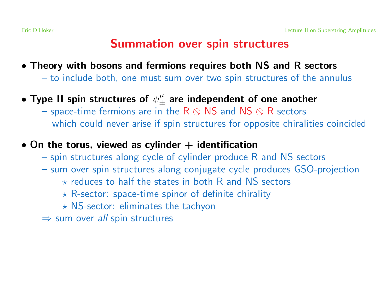### Summation over spin structures

- Theory with bosons and fermions requires both NS and R sectors
	- to include both, one must sum over two spin structures of the annulus
- Type II spin structures of  $\psi_{+}^{\mu}$  are independent of one another
	- space-time fermions are in the  $R \otimes NS$  and  $NS \otimes R$  sectors which could never arise if spin structures for opposite chiralities coincided
- On the torus, viewed as cylinder  $+$  identification
	- spin structures along cycle of cylinder produce R and NS sectors
	- sum over spin structures along conjugate cycle produces GSO-projection
		- $\star$  reduces to half the states in both R and NS sectors
		- $\star$  R-sector: space-time spinor of definite chirality
		- $\star$  NS-sector: eliminates the tachyon
	- $\Rightarrow$  sum over all spin structures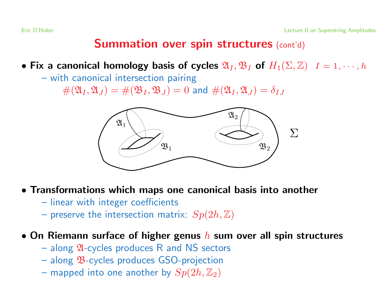### **Summation over spin structures (cont'd)**

- Fix a canonical homology basis of cycles  $\mathfrak{A}_I, \mathfrak{B}_I$  of  $H_1(\Sigma, \mathbb{Z})$   $I = 1, \dots, h$ 
	- with canonical intersection pairing

 $#(\mathfrak{A}_I, \mathfrak{A}_J) = #(\mathfrak{B}_I, \mathfrak{B}_J) = 0$  and  $#(\mathfrak{A}_I, \mathfrak{A}_J) = \delta_{IJ}$ 



- Transformations which maps one canonical basis into another
	- linear with integer coefficients
	- preserve the intersection matrix:  $Sp(2h, \mathbb{Z})$

#### • On Riemann surface of higher genus  $h$  sum over all spin structures

- $-$  along  $\mathfrak A$ -cycles produces R and NS sectors
- along B-cycles produces GSO-projection
- mapped into one another by  $Sp(2h, \mathbb{Z}_2)$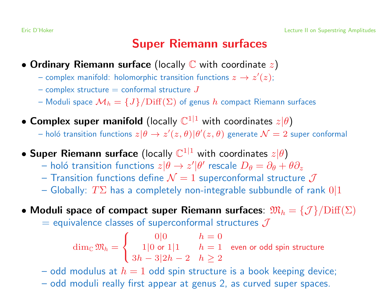## Super Riemann surfaces

- Ordinary Riemann surface (locally  $\mathbb C$  with coordinate  $z$ )
	- complex manifold: holomorphic transition functions  $z \to z'(z)$ ;
	- complex structure  $=$  conformal structure  $J$
	- Moduli space  $\mathcal{M}_h = \{J\}/\text{Diff}(\Sigma)$  of genus h compact Riemann surfaces
- Complex super manifold (locally  $\mathbb{C}^{1|1}$  with coordinates  $z|\theta$ )
	- holó transition functions  $z|\theta \to z'(z,\theta)|\theta'(z,\theta)$  generate  $\mathcal{N}=2$  super conformal
- Super Riemann surface (locally  $\mathbb{C}^{1|1}$  with coordinates  $z|\theta$ )
	- holó transition functions  $z|\theta \to z'|\theta'$  rescale  $D_{\theta} = \partial_{\theta} + \theta \partial_{z}$
	- Transition functions define  $\mathcal{N}=1$  superconformal structure  $\mathcal J$
	- Globally:  $T\Sigma$  has a completely non-integrable subbundle of rank  $0|1$
- Moduli space of compact super Riemann surfaces:  $\mathfrak{M}_h = \{ \mathcal{J} \} / \text{Diff}(\Sigma)$ 
	- $=$  equivalence classes of superconformal structures  $J$

$$
\dim_{\mathbb{C}} \mathfrak{M}_h = \begin{cases} 0|0 & h = 0 \\ 1|0 \text{ or } 1|1 & h = 1 \\ 3h - 3|2h - 2 & h \ge 2 \end{cases}
$$
 even or odd spin structure

- odd modulus at  $h = 1$  odd spin structure is a book keeping device;
- odd moduli really first appear at genus 2, as curved super spaces.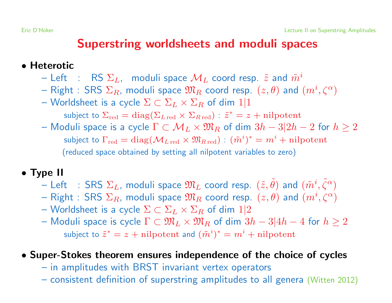### Superstring worldsheets and moduli spaces

#### • Heterotic

- Left : RS  $\Sigma_L$ , moduli space  $\mathcal{M}_L$  coord resp.  $\tilde{z}$  and  $\tilde{m}^i$
- Right : SRS  $\Sigma_R$ , moduli space  $\mathfrak{M}_R$  coord resp.  $(z, \theta)$  and  $(m^i, \zeta^{\alpha})$
- Worldsheet is a cycle  $\Sigma \subset \Sigma_L \times \Sigma_R$  of dim  $1/1$

subject to  $\Sigma_{\rm red} = \text{diag}(\Sigma_{L\,{\rm red}} \times \Sigma_{R\,{\rm red}}): \tilde{z}^* = z + \text{nilpotent}$ 

– Moduli space is a cycle  $\Gamma \subset \mathcal{M}_L \times \mathfrak{M}_R$  of dim  $3h-3|2h-2$  for  $h \geq 2$ subject to  $\Gamma_{\text{red}} = \text{diag}(\mathcal{M}_{L \text{ red}} \times \mathfrak{M}_{R \text{ red}}) : (\tilde{m}^{i})^{*} = m^{i} + \text{nilpotent}$ (reduced space obtained by setting all nilpotent variables to zero)

#### • Type II

- Left : SRS  $\Sigma_L$ , moduli space  $\mathfrak{M}_L$  coord resp.  $(\tilde{z}, \tilde{\theta})$  and  $(\tilde{m}^i, \tilde{\zeta}^{\alpha})$
- Right : SRS  $\Sigma_R$ , moduli space  $\mathfrak{M}_R$  coord resp.  $(z, \theta)$  and  $(m^i, \zeta^{\alpha})$
- Worldsheet is a cycle  $\Sigma \subset \Sigma_L \times \Sigma_R$  of dim  $1/2$
- Moduli space is cycle  $\Gamma \subset \mathfrak{M}_L \times \mathfrak{M}_R$  of dim  $3h-3|4h-4$  for  $h \geq 2$ subject to  $\tilde{z}^* = z + \text{nilpotent}$  and  $(\tilde{m}^i)^* = m^i + \text{nilpotent}$

#### • Super-Stokes theorem ensures independence of the choice of cycles

- in amplitudes with BRST invariant vertex operators
- consistent definition of superstring amplitudes to all genera (Witten 2012)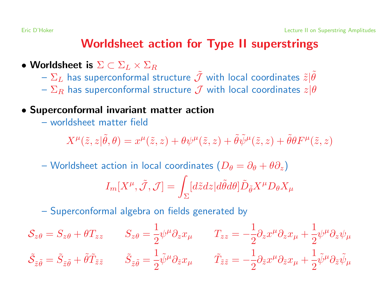### Worldsheet action for Type II superstrings

- Worldsheet is  $\Sigma \subset \Sigma_L \times \Sigma_R$ 
	- $-\Sigma_L$  has superconformal structure  $\tilde{\mathcal{J}}$  with local coordinates  $\tilde{z}|\tilde{\theta}$
	- $-\Sigma_R$  has superconformal structure  $\mathcal J$  with local coordinates  $z|\theta$
- Superconformal invariant matter action
	- worldsheet matter field

$$
X^{\mu}(\tilde{z},z|\tilde{\theta},\theta)=x^{\mu}(\tilde{z},z)+\theta\psi^{\mu}(\tilde{z},z)+\tilde{\theta}\tilde{\psi}^{\mu}(\tilde{z},z)+\tilde{\theta}\theta F^{\mu}(\tilde{z},z)
$$

– Worldsheet action in local coordinates ( $D_{\theta} = \partial_{\theta} + \theta \partial_{z}$ )

$$
I_m[X^{\mu}, \tilde{\mathcal{J}}, \mathcal{J}] = \int_{\Sigma} [d\tilde{z}dz | d\tilde{\theta} d\theta] \tilde{D}_{\tilde{\theta}} X^{\mu} D_{\theta} X_{\mu}
$$

– Superconformal algebra on fields generated by

$$
\mathcal{S}_{z\theta} = S_{z\theta} + \theta T_{zz} \qquad S_{z\theta} = \frac{1}{2} \psi^{\mu} \partial_z x_{\mu} \qquad T_{zz} = -\frac{1}{2} \partial_z x^{\mu} \partial_z x_{\mu} + \frac{1}{2} \psi^{\mu} \partial_z \psi_{\mu}
$$

$$
\tilde{\mathcal{S}}_{\tilde{z}\tilde{\theta}} = \tilde{S}_{\tilde{z}\tilde{\theta}} + \tilde{\theta} \tilde{T}_{\tilde{z}\tilde{z}} \qquad \tilde{S}_{\tilde{z}\tilde{\theta}} = \frac{1}{2} \tilde{\psi}^{\mu} \partial_{\tilde{z}} x_{\mu} \qquad \tilde{T}_{\tilde{z}\tilde{z}} = -\frac{1}{2} \partial_{\tilde{z}} x^{\mu} \partial_{\tilde{z}} x_{\mu} + \frac{1}{2} \tilde{\psi}^{\mu} \partial_{\tilde{z}} \tilde{\psi}_{\mu}
$$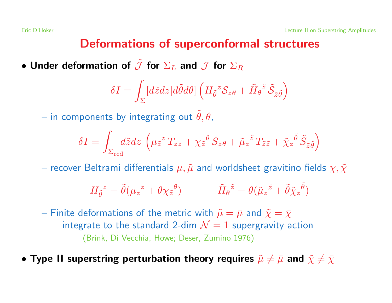### Deformations of superconformal structures

• Under deformation of  $\tilde{\mathcal{J}}$  for  $\Sigma_L$  and  $\mathcal{J}$  for  $\Sigma_R$ 

$$
\delta I = \int_{\Sigma} [d\tilde{z}dz | d\tilde{\theta} d\theta] \left( H_{\tilde{\theta}}^{z} \mathcal{S}_{z\theta} + \tilde{H}_{\theta}{}^{\tilde{z}} \tilde{\mathcal{S}}_{\tilde{z}\tilde{\theta}} \right)
$$

– in components by integrating out  $\ddot{\theta}$ ,  $\theta$ ,

$$
\delta I = \int_{\Sigma_{\rm red}} d\tilde{z} dz \, \left( \mu_{\tilde{z}}^z T_{zz} + \chi_{\tilde{z}}^{\theta} S_{z\theta} + \tilde{\mu}_z^{\tilde{z}} T_{\tilde{z}\tilde{z}} + \tilde{\chi}_z^{\tilde{\theta}} \tilde{S}_{\tilde{z}\tilde{\theta}} \right)
$$

– recover Beltrami differentials  $\mu, \tilde{\mu}$  and worldsheet gravitino fields  $\chi, \tilde{\chi}$ 

$$
H_{\tilde{\theta}}^z = \tilde{\theta}(\mu_{\bar{z}}^z + \theta \chi_{\bar{z}}^{\theta}) \qquad \tilde{H}_{\theta}^{\tilde{z}} = \theta(\tilde{\mu}_z^{\tilde{z}} + \tilde{\theta} \tilde{\chi}_z^{\tilde{\theta}})
$$

- Finite deformations of the metric with  $\tilde{\mu} = \bar{\mu}$  and  $\tilde{\chi} = \bar{\chi}$ integrate to the standard 2-dim  $\mathcal{N}=1$  supergravity action (Brink, Di Vecchia, Howe; Deser, Zumino 1976)
- Type II superstring perturbation theory requires  $\tilde{\mu} \neq \bar{\mu}$  and  $\tilde{\chi} \neq \bar{\chi}$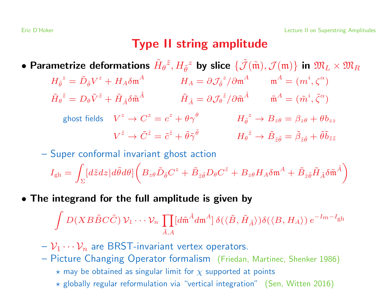### Type II string amplitude

- Parametrize deformations  $\tilde{H}_{\theta}{}^{\tilde{z}}, H_{\tilde{\theta}}{}^z$  by slice  $\{\tilde{\mathcal{J}}(\tilde{\mathfrak{m}}), \mathcal{J}(\mathfrak{m})\}$  in  $\mathfrak{M}_L\times \mathfrak{M}_R$ 
	- $H_{\tilde{\theta}}^z = \tilde{D}_{\tilde{\theta}} V^z + H_A \delta \mathfrak{m}^A$   $H_A = \partial \mathcal{J}_{\tilde{\theta}}^z / \partial \mathfrak{m}^A$   $\mathfrak{m}^A = (m^i, \zeta^{\alpha})$  $\tilde{H}_{\theta}{}^{\tilde{z}} = D_{\theta} \tilde{V}^{\tilde{z}} + \tilde{H}_{\tilde{\lambda}} \delta \tilde{\mathfrak{m}}^{\tilde{A}}$   $\tilde{H}_{\tilde{\lambda}} = \partial \mathcal{J}_{\theta}{}^{\tilde{z}} / \partial \tilde{\mathfrak{m}}^{\tilde{A}}$   $\tilde{\mathfrak{m}}^A = (\tilde{m}^i, \tilde{\zeta}^{\alpha})$ 
		- ghost fields  $V^z \to C^z = c^z + \theta \gamma^{\theta}$   $H_{\tilde{\theta}}^z \to B_{z\theta} = \beta_{z\theta} + \theta b_{zz}$  $V^{\tilde{z}} \to \tilde{C}^{\tilde{z}} = \tilde{c}^{\tilde{z}} + \tilde{\theta}\tilde{\gamma}\tilde{\theta}$   $H_{\theta}^{\tilde{z}} \to \tilde{B}_{z\tilde{\theta}} = \tilde{\beta}_{z\tilde{\theta}} + \tilde{\theta}\tilde{b}_{\tilde{z}\tilde{z}}$

– Super conformal invariant ghost action

$$
I_{\text{gh}} = \int_{\Sigma} [d\tilde{z}dz|d\tilde{\theta}d\theta] \left( B_{z\theta} \tilde{D}_{\tilde{\theta}} C^z + \tilde{B}_{\tilde{z}\tilde{\theta}} D_{\theta} C^{\tilde{z}} + B_{z\theta} H_A \delta \mathfrak{m}^A + \tilde{B}_{\tilde{z}\tilde{\theta}} \tilde{H}_{\tilde{A}} \delta \tilde{\mathfrak{m}}^{\tilde{A}} \right)
$$

• The integrand for the full amplitude is given by

$$
\int D(XB\tilde{B}C\tilde{C}) \mathcal{V}_1 \cdots \mathcal{V}_n \prod_{\tilde{A},A} [d\tilde{\mathfrak{m}}^{\tilde{A}} d\mathfrak{m}^A] \delta(\langle \tilde{B}, \tilde{H}_{\tilde{A}} \rangle) \delta(\langle B, H_A \rangle) e^{-I_m - I_{\text{gh}}}
$$

- $-\mathcal{V}_1 \cdots \mathcal{V}_n$  are BRST-invariant vertex operators.
- Picture Changing Operator formalism (Friedan, Martinec, Shenker 1986)
	- $\star$  may be obtained as singular limit for  $\chi$  supported at points
	- $\star$  globally regular reformulation via "vertical integration" (Sen, Witten 2016)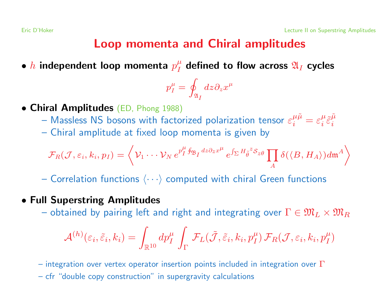### Loop momenta and Chiral amplitudes

• h independent loop momenta  $p_T^{\mu}$  defined to flow across  $\mathfrak{A}_I$  cycles

$$
p_I^\mu = \oint_{\mathfrak{A}_I} dz \partial_z x^\mu
$$

- Chiral Amplitudes (ED, Phong 1988)
	- $-$  Massless NS bosons with factorized polarization tensor  $\varepsilon^{\mu\tilde{\mu}}_i = \varepsilon^{\mu}_i \tilde{\varepsilon}^{\tilde{\mu}}_i$ i
	- Chiral amplitude at fixed loop momenta is given by

$$
\mathcal{F}_R(\mathcal{J},\varepsilon_i,k_i,p_I) = \left\langle \mathcal{V}_1 \cdots \mathcal{V}_N \, e^{p_I^{\mu} \oint_{\mathfrak{B}_I} dz \partial_z x^{\mu}} \, e^{\int_{\Sigma} H_{\tilde{\theta}}^{z} \mathcal{S}_{z\theta}} \prod_A \delta(\langle B, H_A \rangle) d\mathfrak{m}^A \right\rangle
$$

– Correlation functions  $\langle \cdots \rangle$  computed with chiral Green functions

#### • Full Superstring Amplitudes

– obtained by pairing left and right and integrating over  $\Gamma \in \mathfrak{M}_L \times \mathfrak{M}_R$ 

$$
\mathcal{A}^{(h)}(\varepsilon_i, \tilde{\varepsilon}_i, k_i) = \int_{\mathbb{R}^{10}} dp_I^{\mu} \int_{\Gamma} \mathcal{F}_L(\tilde{\mathcal{J}}, \tilde{\varepsilon}_i, k_i, p_I^{\mu}) \mathcal{F}_R(\mathcal{J}, \varepsilon_i, k_i, p_I^{\mu})
$$

– integration over vertex operator insertion points included in integration over  $\Gamma$ 

– cfr "double copy construction" in supergravity calculations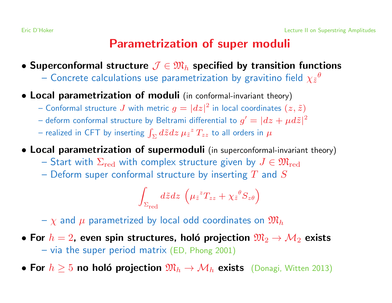## Parametrization of super moduli

- Superconformal structure  $\mathcal{J} \in \mathfrak{M}_h$  specified by transition functions
	- Concrete calculations use parametrization by gravitino field  $\chi_{\tilde{z}}{}^\theta$
- Local parametrization of moduli (in conformal-invariant theory)
	- Conformal structure J with metric  $g = |dz|^2$  in local coordinates  $(z, \tilde{z})$
	- deform conformal structure by Beltrami differential to  $g' = |dz + \mu d\tilde{z}|^2$
	- realized in CFT by inserting  $\int_{\Sigma} d\tilde{z} dz \mu z^z T_{zz}$  to all orders in  $\mu$
- Local parametrization of supermoduli (in superconformal-invariant theory)
	- Start with  $\Sigma_{\rm red}$  with complex structure given by  $J \in \mathfrak{M}_{\rm red}$
	- Deform super conformal structure by inserting  $T$  and  $S$

$$
\int_{\Sigma_{{\rm red}}} d\tilde{z} dz \, \left(\mu_{\tilde{z}}{^zT_{zz}}+\chi_{\tilde{z}}{^\thetaS_{z\theta}}\right)
$$

 $-\chi$  and  $\mu$  parametrized by local odd coordinates on  $\mathfrak{M}_h$ 

- For  $h = 2$ , even spin structures, holó projection  $\mathfrak{M}_2 \rightarrow \mathcal{M}_2$  exists – via the super period matrix (ED, Phong 2001)
- For  $h \geq 5$  no holó projection  $\mathfrak{M}_h \to \mathcal{M}_h$  exists (Donagi, Witten 2013)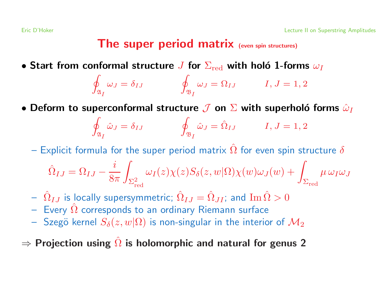### The super period matrix (even spin structures)

• Start from conformal structure  $J$  for  $\Sigma_{\rm red}$  with holó 1-forms  $\omega_I$ 

$$
\oint_{\mathfrak{A}_I} \omega_J = \delta_{IJ} \qquad \oint_{\mathfrak{B}_I} \omega_J = \Omega_{IJ} \qquad I, J = 1, 2
$$

• Deform to superconformal structure  $J$  on  $\Sigma$  with superholó forms  $\hat{\omega}_I$ 

$$
\oint_{\mathfrak{A}_I} \hat{\omega}_J = \delta_{IJ} \qquad \oint_{\mathfrak{B}_I} \hat{\omega}_J = \hat{\Omega}_{IJ} \qquad I, J = 1, 2
$$

 $-$  Explicit formula for the super period matrix  $\hat{\Omega}$  for even spin structure  $\delta$ 

$$
\hat{\Omega}_{IJ} = \Omega_{IJ} - \frac{i}{8\pi} \int_{\Sigma^2_{\rm red}} \omega_I(z) \chi(z) S_\delta(z,w|\Omega) \chi(w) \omega_J(w) + \int_{\Sigma_{\rm red}} \mu \, \omega_I \omega_J
$$

- $-\hat{\Omega}_{IJ}$  is locally supersymmetric;  $\hat{\Omega}_{IJ}=\hat{\Omega}_{JI}$ ; and  $\text{Im}\,\hat{\Omega}>0$
- $-$  Every  $\hat{\Omega}$  corresponds to an ordinary Riemann surface
- Szegö kernel  $S_{\delta}(z, w | \Omega)$  is non-singular in the interior of  $\mathcal{M}_2$
- $\Rightarrow$  Projection using  $\hat{\Omega}$  is holomorphic and natural for genus 2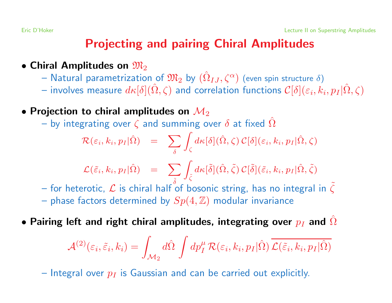## Projecting and pairing Chiral Amplitudes

- Chiral Amplitudes on  $\mathfrak{M}_2$ 
	- $-$  Natural parametrization of  $\mathfrak{M}_{2}$  by  $(\hat{\Omega}_{IJ},\zeta^{\alpha})$  (even spin structure  $\delta)$
	- $-$  involves measure  $d\kappa[\delta](\hat{\Omega},\zeta)$  and correlation functions  $\mathcal{C}[\delta](\varepsilon_i,k_i,p_I|\hat{\Omega},\zeta)$
- Projection to chiral amplitudes on  $\mathcal{M}_2$ 
	- ˆ

$$
\text{-- by integrating over } \zeta \text{ and summing over } \delta \text{ at fixed } \Omega
$$
\n
$$
\mathcal{R}(\varepsilon_i, k_i, p_I | \hat{\Omega}) = \sum_{\delta} \int_{\zeta} d\kappa[\delta](\hat{\Omega}, \zeta) \, \mathcal{C}[\delta](\varepsilon_i, k_i, p_I | \hat{\Omega}, \zeta)
$$

$$
\mathcal{L}(\tilde{\varepsilon}_i, k_i, p_I | \hat{\Omega}) = \sum_{\tilde{\varsigma}} \int_{\tilde{\zeta}} d\kappa[\tilde{\delta}] (\hat{\Omega}, \tilde{\zeta}) \, \mathcal{C}[\tilde{\delta}] (\tilde{\varepsilon}_i, k_i, p_I | \hat{\Omega}, \tilde{\zeta})
$$

- $-$  for heterotic,  ${\cal L}$  is chiral half of bosonic string, has no integral in  $\tilde{\zeta}$
- phase factors determined by  $Sp(4, \mathbb{Z})$  modular invariance
- $\bullet$  Pairing left and right chiral amplitudes, integrating over  $p_I$  and  $\Omega$ ˆ

$$
\mathcal{A}^{(2)}(\varepsilon_i, \tilde{\varepsilon}_i, k_i) = \int_{\mathcal{M}_2} d\hat{\Omega} \int dp_I^{\mu} \mathcal{R}(\varepsilon_i, k_i, p_I | \hat{\Omega}) \overline{\mathcal{L}(\tilde{\varepsilon}_i, k_i, p_I | \hat{\Omega})}
$$

– Integral over  $p_I$  is Gaussian and can be carried out explicitly.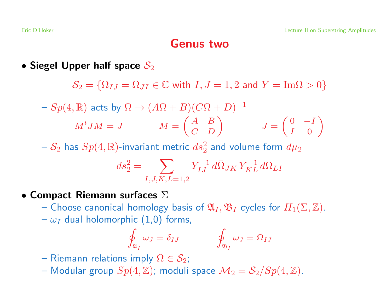### Genus two

• Siegel Upper half space  $\mathcal{S}_2$ 

 $\mathcal{S}_2 = {\Omega_{IJ} = \Omega_{JI}} \in \mathbb{C}$  with  $I, J = 1, 2$  and  $Y = \text{Im}\Omega > 0$  $-Sp(4, \mathbb{R})$  acts by  $\Omega \rightarrow (A\Omega + B)(C\Omega + D)^{-1}$  $M^tJM = J$   $M = \begin{pmatrix} A & B \\ C & D \end{pmatrix}$   $J = \begin{pmatrix} 0 & -I \\ I & 0 \end{pmatrix}$ 

 $-\,{\cal S}_2$  has  $Sp(4,\mathbb{R})$ -invariant metric  $ds_2^2$  and volume form  $d\mu_2$ <br> $ds_2^2 = \sum_{}^{} \sum_{}^{} \frac{Y_{IJ}^{-1} \, d\bar{\Omega}_{JK} \, Y_{KL}^{-1} \, d\Omega_{LI}}{kT_{KL}}$ 

$$
ds_2^2 = \sum_{I,J,K,L=1,2} Y_{IJ}^{-1} d\bar{\Omega}_{JK} Y_{KL}^{-1} d\Omega_{LI}
$$

- Compact Riemann surfaces  $\Sigma$ 
	- Choose canonical homology basis of  $\mathfrak{A}_I, \mathfrak{B}_I$  cycles for  $H_1(\Sigma, \mathbb{Z})$ .
	- $-\omega_I$  dual holomorphic (1,0) forms,

$$
\oint_{\mathfrak{A}_I} \omega_J = \delta_{IJ} \qquad \qquad \oint_{\mathfrak{B}_I} \omega_J = \Omega_{IJ}
$$

- Riemann relations imply  $\Omega \in \mathcal{S}_2$ ;
- Modular group  $Sp(4, \mathbb{Z})$ ; moduli space  $\mathcal{M}_2 = \mathcal{S}_2/Sp(4, \mathbb{Z})$ .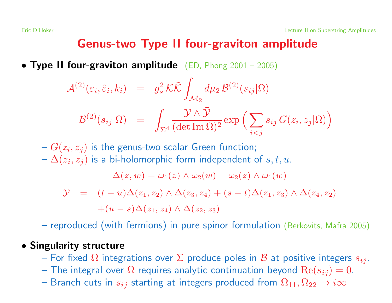### Genus-two Type II four-graviton amplitude

• Type II four-graviton amplitude (ED, Phong  $2001 - 2005$ )

$$
\mathcal{A}^{(2)}(\varepsilon_i, \tilde{\varepsilon}_i, k_i) = g_s^2 \mathcal{K} \tilde{\mathcal{K}} \int_{\mathcal{M}_2} d\mu_2 \mathcal{B}^{(2)}(s_{ij}|\Omega)
$$
  

$$
\mathcal{B}^{(2)}(s_{ij}|\Omega) = \int_{\Sigma^4} \frac{\mathcal{Y} \wedge \bar{\mathcal{Y}}}{(\det \operatorname{Im} \Omega)^2} \exp \left( \sum_{i < j} s_{ij} G(z_i, z_j|\Omega) \right)
$$

 $-G(z_i, z_j)$  is the genus-two scalar Green function;  $-\Delta(z_i, z_j)$  is a bi-holomorphic form independent of  $s, t, u$ .  $\Delta(z, w) = \omega_1(z) \wedge \omega_2(w) - \omega_2(z) \wedge \omega_1(w)$  $\mathcal{Y} = (t - u)\Delta(z_1, z_2) \wedge \Delta(z_3, z_4) + (s - t)\Delta(z_1, z_3) \wedge \Delta(z_4, z_2)$  $+(u-s)\Delta(z_1, z_4) \wedge \Delta(z_2, z_3)$ 

– reproduced (with fermions) in pure spinor formulation (Berkovits, Mafra 2005)

#### • Singularity structure

- For fixed  $\Omega$  integrations over  $\Sigma$  produce poles in  ${\cal B}$  at positive integers  $s_{ij}$ .
- The integral over  $\Omega$  requires analytic continuation beyond  $\mathrm{Re}(s_{ij})=0.$
- Branch cuts in  $s_{ij}$  starting at integers produced from  $\Omega_{11}, \Omega_{22} \rightarrow i \infty$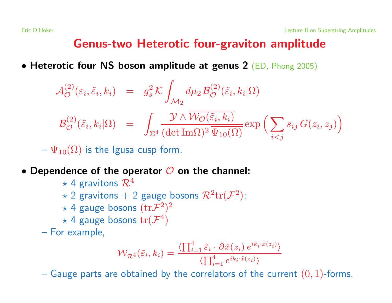## Genus-two Heterotic four-graviton amplitude

• Heterotic four NS boson amplitude at genus 2 (ED, Phong 2005)

$$
\mathcal{A}_{\mathcal{O}}^{(2)}(\varepsilon_{i}, \tilde{\varepsilon}_{i}, k_{i}) = g_{s}^{2} \mathcal{K} \int_{\mathcal{M}_{2}} d\mu_{2} \mathcal{B}_{\mathcal{O}}^{(2)}(\tilde{\varepsilon}_{i}, k_{i}|\Omega)
$$
  

$$
\mathcal{B}_{\mathcal{O}}^{(2)}(\tilde{\varepsilon}_{i}, k_{i}|\Omega) = \int_{\Sigma^{4}} \frac{\mathcal{Y} \wedge \overline{\mathcal{W}_{\mathcal{O}}(\tilde{\varepsilon}_{i}, k_{i})}}{(\det \text{Im}\Omega)^{2} \overline{\Psi_{10}(\Omega)}} \exp \left(\sum_{i < j} s_{ij} \, G(z_{i}, z_{j})\right)
$$

 $-\Psi_{10}(\Omega)$  is the Igusa cusp form.

- Dependence of the operator  $\mathcal O$  on the channel:
	- $\star$  4 gravitons  $\mathcal{R}^4$
	- $\star$  2 gravitons + 2 gauge bosons  $\mathcal{R}^2$ tr $(\mathcal{F}^2)$ ;
	- $\star$  4 gauge bosons  $(\text{tr} \mathcal{F}^2)^2$
	- $\star$  4 gauge bosons  $\text{tr}(\mathcal{F}^4)$
	- For example,

$$
\mathcal{W}_{\mathcal{R}^4}(\tilde{\varepsilon}_i, k_i) = \frac{\langle \prod_{i=1}^4 \tilde{\varepsilon}_i \cdot \bar{\partial} \tilde{x}(z_i) e^{ik_i \cdot \tilde{x}(z_i)} \rangle}{\langle \prod_{i=1}^4 e^{ik_i \cdot \tilde{x}(z_i)} \rangle}
$$

– Gauge parts are obtained by the correlators of the current  $(0, 1)$ -forms.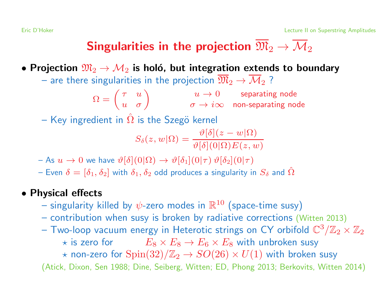# Singularities in the projection  $\overline{\mathfrak{M}}_2 \to \overline{\mathcal{M}}_2$

• Projection  $\mathfrak{M}_2 \rightarrow \mathcal{M}_2$  is holó, but integration extends to boundary

– are there singularities in the projection  $\overline{\mathfrak{M}}_2 \to \overline{\mathcal{M}}_2$  ?

$$
\Omega = \begin{pmatrix} \tau & u \\ u & \sigma \end{pmatrix} \qquad \begin{array}{c} u \to 0 \\ \sigma \to i\infty \end{array} \qquad \begin{array}{c} \text{separating node} \\ \text{non-separating node} \end{array}
$$

 $-$  Key ingredient in  $\hat{\Omega}$  is the Szegö kernel

$$
S_{\delta}(z, w | \Omega) = \frac{\vartheta[\delta](z - w | \Omega)}{\vartheta[\delta](0 | \Omega) E(z, w)}
$$

- As  $u \to 0$  we have  $\vartheta[\delta](0|\Omega) \to \vartheta[\delta_1](0|\tau) \vartheta[\delta_2](0|\tau)$
- Even  $\delta=[\delta_1,\delta_2]$  with  $\delta_1,\delta_2$  odd produces a singularity in  $S_\delta$  and  $\hat\Omega$

#### • Physical effects

- singularity killed by  $\psi$ -zero modes in  $\mathbb{R}^{10}$  (space-time susy)
- contribution when susy is broken by radiative corrections (Witten 2013)
- Two-loop vacuum energy in Heterotic strings on CY orbifold  $\mathbb{C}^3/\mathbb{Z}_2 \times \mathbb{Z}_2$ 
	- $\star$  is zero for  $E_8 \times E_8 \to E_6 \times E_8$  with unbroken susy
	- $\star$  non-zero for  $\text{Spin}(32)/\mathbb{Z}_2 \to SO(26) \times U(1)$  with broken susy

(Atick, Dixon, Sen 1988; Dine, Seiberg, Witten; ED, Phong 2013; Berkovits, Witten 2014)